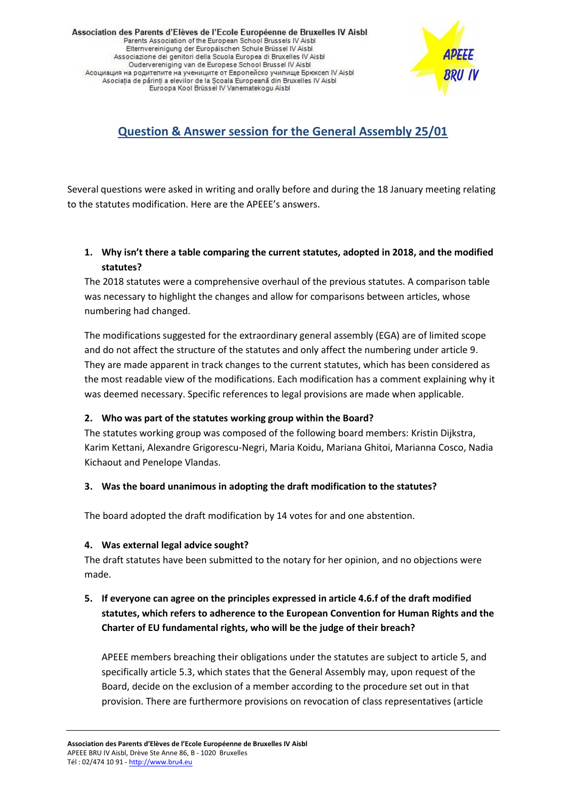Association des Parents d'Elèves de l'Ecole Européenne de Bruxelles IV Aisbl Parents Association of the European School Brussels IV Aisbl Elternvereinigung der Europäischen Schule Brüssel IV Aisbl Associazione dei genitori della Scuola Europea di Bruxelles IV Aisbl Oudervereniging van de Europese School Brussel IV Aisbl Асоциация на родителите на учениците от Европейско училище Брюксел IV Aisbl Asociația de părinți a elevilor de la Școala Europeană din Bruxelles IV Aisbl Euroopa Kool Brüssel IV Vanematekogu Aisbl



# **Question & Answer session for the General Assembly 25/01**

Several questions were asked in writing and orally before and during the 18 January meeting relating to the statutes modification. Here are the APEEE's answers.

## **1. Why isn't there a table comparing the current statutes, adopted in 2018, and the modified statutes?**

The 2018 statutes were a comprehensive overhaul of the previous statutes. A comparison table was necessary to highlight the changes and allow for comparisons between articles, whose numbering had changed.

The modifications suggested for the extraordinary general assembly (EGA) are of limited scope and do not affect the structure of the statutes and only affect the numbering under article 9. They are made apparent in track changes to the current statutes, which has been considered as the most readable view of the modifications. Each modification has a comment explaining why it was deemed necessary. Specific references to legal provisions are made when applicable.

### **2. Who was part of the statutes working group within the Board?**

The statutes working group was composed of the following board members: Kristin Dijkstra, Karim Kettani, Alexandre Grigorescu-Negri, Maria Koidu, Mariana Ghitoi, Marianna Cosco, Nadia Kichaout and Penelope Vlandas.

### **3. Was the board unanimous in adopting the draft modification to the statutes?**

The board adopted the draft modification by 14 votes for and one abstention.

#### **4. Was external legal advice sought?**

The draft statutes have been submitted to the notary for her opinion, and no objections were made.

## **5. If everyone can agree on the principles expressed in article 4.6.f of the draft modified statutes, which refers to adherence to the European Convention for Human Rights and the Charter of EU fundamental rights, who will be the judge of their breach?**

APEEE members breaching their obligations under the statutes are subject to article 5, and specifically article 5.3, which states that the General Assembly may, upon request of the Board, decide on the exclusion of a member according to the procedure set out in that provision. There are furthermore provisions on revocation of class representatives (article